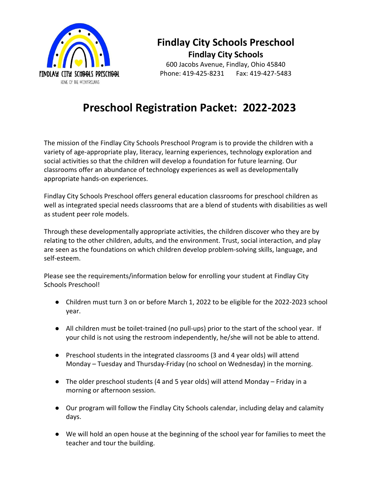

# **Findlay City Schools Preschool Findlay City Schools**

600 Jacobs Avenue, Findlay, Ohio 45840 Phone: 419-425-8231 Fax: 419-427-5483

# **Preschool Registration Packet: 2022-2023**

 classrooms offer an abundance of technology experiences as well as developmentally The mission of the Findlay City Schools Preschool Program is to provide the children with a variety of age-appropriate play, literacy, learning experiences, technology exploration and social activities so that the children will develop a foundation for future learning. Our appropriate hands-on experiences.

Findlay City Schools Preschool offers general education classrooms for preschool children as well as integrated special needs classrooms that are a blend of students with disabilities as well as student peer role models.

 Through these developmentally appropriate activities, the children discover who they are by are seen as the foundations on which children develop problem-solving skills, language, and self-esteem. relating to the other children, adults, and the environment. Trust, social interaction, and play

Please see the requirements/information below for enrolling your student at Findlay City Schools Preschool!

- ● Children must turn 3 on or before March 1, 2022 to be eligible for the 2022-2023 school year.
- your child is not using the restroom independently, he/she will not be able to attend. ● All children must be toilet-trained (no pull-ups) prior to the start of the school year. If
- Monday Tuesday and Thursday-Friday (no school on Wednesday) in the morning. ● Preschool students in the integrated classrooms (3 and 4 year olds) will attend
- morning or afternoon session. ● The older preschool students (4 and 5 year olds) will attend Monday – Friday in a
- Our program will follow the Findlay City Schools calendar, including delay and calamity days.
- We will hold an open house at the beginning of the school year for families to meet the teacher and tour the building.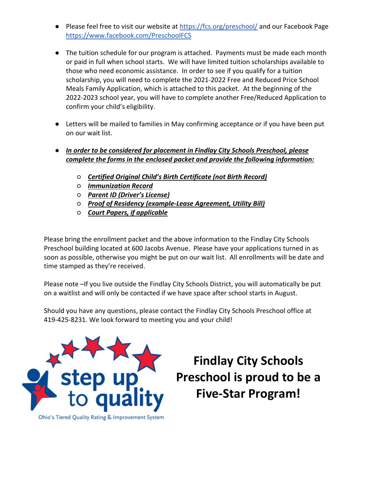- Please feel free to visit our website at<https://fcs.org/preschool/>and our Facebook Page <https://www.facebook.com/PreschoolFCS>
- ● The tuition schedule for our program is attached. Payments must be made each month 2022-2023 school year, you will have to complete another Free/Reduced Application to or paid in full when school starts. We will have limited tuition scholarships available to those who need economic assistance. In order to see if you qualify for a tuition scholarship, you will need to complete the 2021-2022 Free and Reduced Price School Meals Family Application, which is attached to this packet. At the beginning of the confirm your child's eligibility.
- ● Letters will be mailed to families in May confirming acceptance or if you have been put on our wait list.
- *In order to be considered for placement in Findlay City Schools Preschool, please complete the forms in the enclosed packet and provide the following information:* 
	- *Certified Original Child's Birth Certificate (not Birth Record)*
	- *Immunization Record*
	- *Parent ID (Driver's License)*
	- *Proof of Residency (example-Lease Agreement, Utility Bill)*
	- *Court Papers, if applicable*

 Preschool building located at 600 Jacobs Avenue. Please have your applications turned in as time stamped as they're received. Please bring the enrollment packet and the above information to the Findlay City Schools soon as possible, otherwise you might be put on our wait list. All enrollments will be date and

Please note -If you live outside the Findlay City Schools District, you will automatically be put on a waitlist and will only be contacted if we have space after school starts in August.

 Should you have any questions, please contact the Findlay City Schools Preschool office at 419-425-8231. We look forward to meeting you and your child!



**Findlay City Schools Preschool is proud to be a Five-Star Program!**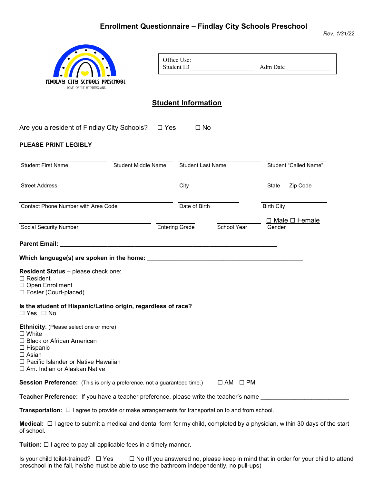## **Enrollment Questionnaire – Findlay City Schools Preschool**

![](_page_2_Picture_1.jpeg)

| Office Use: |          |
|-------------|----------|
| Student ID  | Adm Date |

### **Student Information**

Are you a resident of Findlay City Schools? ❑ Yes ❑ No

#### **PLEASE PRINT LEGIBLY**

| <b>Student First Name</b>                                                                                                                                                                                    | <b>Student Middle Name</b> | Student Last Name     |                     |                   | <b>Student "Called Name"</b> |
|--------------------------------------------------------------------------------------------------------------------------------------------------------------------------------------------------------------|----------------------------|-----------------------|---------------------|-------------------|------------------------------|
| <b>Street Address</b>                                                                                                                                                                                        |                            | City                  |                     | State             | Zip Code                     |
| Contact Phone Number with Area Code                                                                                                                                                                          |                            | Date of Birth         |                     | <b>Birth City</b> |                              |
| Social Security Number                                                                                                                                                                                       |                            | <b>Entering Grade</b> | School Year         | Gender            | $\Box$ Male $\Box$ Female    |
|                                                                                                                                                                                                              |                            |                       |                     |                   |                              |
| Which language(s) are spoken in the home: $\qquad \qquad$                                                                                                                                                    |                            |                       |                     |                   |                              |
| Resident Status - please check one:<br>$\Box$ Resident<br>□ Open Enrollment<br>□ Foster (Court-placed)                                                                                                       |                            |                       |                     |                   |                              |
| Is the student of Hispanic/Latino origin, regardless of race?<br>$\Box$ Yes $\Box$ No                                                                                                                        |                            |                       |                     |                   |                              |
| Ethnicity: (Please select one or more)<br>$\square$ White<br>□ Black or African American<br>$\square$ Hispanic<br>$\square$ Asian<br>□ Pacific Islander or Native Hawaiian<br>□ Am. Indian or Alaskan Native |                            |                       |                     |                   |                              |
| <b>Session Preference:</b> (This is only a preference, not a guaranteed time.)                                                                                                                               |                            |                       | $\Box$ AM $\Box$ PM |                   |                              |
| Teacher Preference: If you have a teacher preference, please write the teacher's name                                                                                                                        |                            |                       |                     |                   |                              |

**Transportation:**  I agree to provide or make arrangements for transportation to and from school.

**Medical:** □ I agree to submit a medical and dental form for my child, completed by a physician, within 30 days of the start of school.

**Tuition:** □ I agree to pay all applicable fees in a timely manner.

Is your child toilet-trained?  $\Box$  Yes  $\Box$  No (If you answered no, please keep in mind that in order for your child to attend preschool in the fall, he/she must be able to use the bathroom independently, no pull-ups)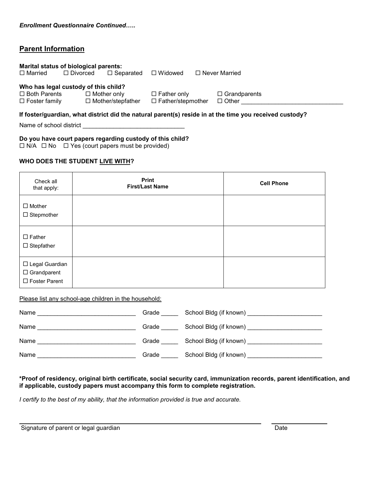### **Parent Information**

| Marital status of biological parents: |                 |                    |                          |                          |                      |
|---------------------------------------|-----------------|--------------------|--------------------------|--------------------------|----------------------|
| $\Box$ Married                        | $\Box$ Divorced |                    | $\Box$ Separated         | $\Box$ Widowed           | $\Box$ Never Married |
|                                       |                 |                    |                          |                          |                      |
| Who has legal custody of this child?  |                 |                    |                          |                          |                      |
| $\Box$ Both Parents                   |                 | $\Box$ Mother only |                          | $\Box$ Father only       | $\Box$ Grandparents  |
| $\Box$ Foster family                  |                 |                    | $\Box$ Mother/stepfather | $\Box$ Father/stepmother | $\Box$ Other         |

#### **If foster/guardian, what district did the natural parent(s) reside in at the time you received custody?**

Name of school district

**Do you have court papers regarding custody of this child?** 

 $\Box$  N/A  $\Box$  No  $\Box$  Yes (court papers must be provided)

#### **WHO DOES THE STUDENT LIVE WITH?**

| Check all<br>that apply:                                  | Print<br><b>First/Last Name</b> | <b>Cell Phone</b> |
|-----------------------------------------------------------|---------------------------------|-------------------|
| $\Box$ Mother<br>$\Box$ Stepmother                        |                                 |                   |
| $\square$ Father<br>$\Box$ Stepfather                     |                                 |                   |
| □ Legal Guardian<br>$\Box$ Grandparent<br>□ Foster Parent |                                 |                   |

Please list any school-age children in the household:

| Name | Grade | School Bldg (if known) |
|------|-------|------------------------|
| Name | Grade | School Bldg (if known) |
| Name | Grade | School Bldg (if known) |
| Name | Grade | School Bldg (if known) |

#### **\*Proof of residency, original birth certificate, social security card, immunization records, parent identification, and if applicable, custody papers must accompany this form to complete registration.**

*I certify to the best of my ability, that the information provided is true and accurate.* 

Signature of parent or legal guardian Date

l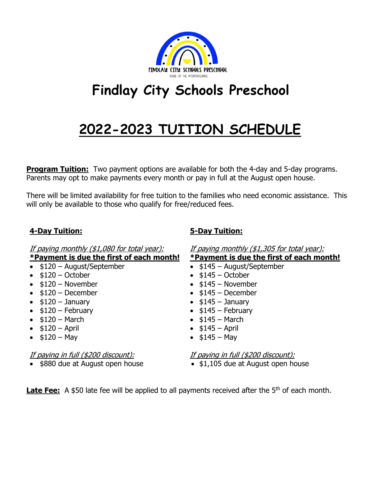![](_page_4_Picture_0.jpeg)

# **Findlay City Schools Preschool**

# **2022-2023 TUITION SCHEDULE**

**Program Tuition:** Two payment options are available for both the 4-day and 5-day programs. Parents may opt to make payments every month or pay in full at the August open house.

There will be limited availability for free tuition to the families who need economic assistance. This will only be available to those who qualify for free/reduced fees.

# **4-Day Tuition: 5-Day Tuition:**

If paying monthly (\$1,080 for total year): If paying monthly (\$1,305 for total year):

| *Payment is due the first of each month!                                       | *Payment is due the first of each month!                                         |
|--------------------------------------------------------------------------------|----------------------------------------------------------------------------------|
| $\bullet$ \$120 - August/September                                             | $\bullet$ \$145 - August/September                                               |
| $\bullet$ \$120 - October                                                      | $\bullet$ \$145 - October                                                        |
| $\bullet$ \$120 - November                                                     | $\bullet$ \$145 – November                                                       |
| $\bullet$ \$120 – December                                                     | $\bullet$ \$145 - December                                                       |
| $\bullet$ \$120 - January                                                      | $\bullet$ \$145 - January                                                        |
| $\bullet$ \$120 - February                                                     | $\bullet$ \$145 - February                                                       |
| $\bullet$ \$120 – March                                                        | $\bullet$ \$145 – March                                                          |
| • $$120 - April$                                                               | • $$145 - April$                                                                 |
| • $$120 - May$                                                                 | • $$145 - May$                                                                   |
| <u>If paying in full (\$200 discount):</u><br>• \$880 due at August open house | <u>If paying in full (\$200 discount):</u><br>• \$1,105 due at August open house |
|                                                                                |                                                                                  |

Late Fee: A \$50 late fee will be applied to all payments received after the 5<sup>th</sup> of each month.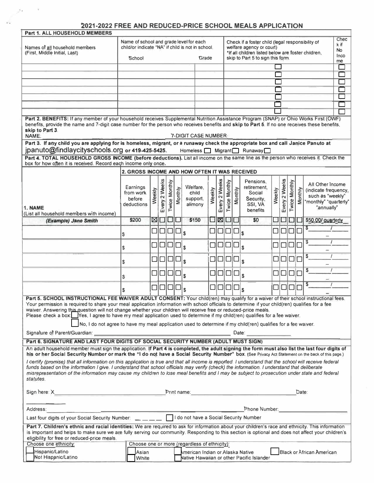## **2021-2022 FREE AND REDUCED-PRICE SCHOOL MEALS APPLICATION**

| Part 1. ALL HOUSEHOLD MEMBERS                                                                                                                                                                                                                                                                                                                                                                                                                                                                                                                                                                                                                                                                                                                                                                                                                                   |                                                                                                        |        |                                    |                                |         |              |                                          |        |               |                               |                                                               |                                                                                                        |        |               |               |              |                                                                                                         |  |
|-----------------------------------------------------------------------------------------------------------------------------------------------------------------------------------------------------------------------------------------------------------------------------------------------------------------------------------------------------------------------------------------------------------------------------------------------------------------------------------------------------------------------------------------------------------------------------------------------------------------------------------------------------------------------------------------------------------------------------------------------------------------------------------------------------------------------------------------------------------------|--------------------------------------------------------------------------------------------------------|--------|------------------------------------|--------------------------------|---------|--------------|------------------------------------------|--------|---------------|-------------------------------|---------------------------------------------------------------|--------------------------------------------------------------------------------------------------------|--------|---------------|---------------|--------------|---------------------------------------------------------------------------------------------------------|--|
| Names of all household members<br>(First, Middle Initial, Last)                                                                                                                                                                                                                                                                                                                                                                                                                                                                                                                                                                                                                                                                                                                                                                                                 | Name of school and grade level for each<br>child/or indicate "NA" if child is not in school.<br>School |        |                                    |                                |         | Grade        |                                          |        |               |                               | welfare agency or court)<br>skip to Part 5 to sign this form. | Check if a foster child (legal responsibility of<br>*If all children listed below are foster children, |        |               |               |              | Chec<br>k if<br>No<br>Inco<br>me                                                                        |  |
|                                                                                                                                                                                                                                                                                                                                                                                                                                                                                                                                                                                                                                                                                                                                                                                                                                                                 |                                                                                                        |        |                                    |                                |         |              |                                          |        |               |                               |                                                               |                                                                                                        |        |               |               |              |                                                                                                         |  |
|                                                                                                                                                                                                                                                                                                                                                                                                                                                                                                                                                                                                                                                                                                                                                                                                                                                                 |                                                                                                        |        |                                    |                                |         |              |                                          |        |               |                               |                                                               |                                                                                                        |        |               |               |              |                                                                                                         |  |
|                                                                                                                                                                                                                                                                                                                                                                                                                                                                                                                                                                                                                                                                                                                                                                                                                                                                 |                                                                                                        |        |                                    |                                |         |              |                                          |        |               |                               |                                                               |                                                                                                        |        |               |               |              |                                                                                                         |  |
|                                                                                                                                                                                                                                                                                                                                                                                                                                                                                                                                                                                                                                                                                                                                                                                                                                                                 |                                                                                                        |        |                                    |                                |         |              |                                          |        |               |                               |                                                               |                                                                                                        |        |               |               |              |                                                                                                         |  |
|                                                                                                                                                                                                                                                                                                                                                                                                                                                                                                                                                                                                                                                                                                                                                                                                                                                                 |                                                                                                        |        |                                    |                                |         |              |                                          |        |               |                               |                                                               |                                                                                                        |        |               |               |              |                                                                                                         |  |
|                                                                                                                                                                                                                                                                                                                                                                                                                                                                                                                                                                                                                                                                                                                                                                                                                                                                 |                                                                                                        |        |                                    |                                |         |              |                                          |        |               |                               |                                                               |                                                                                                        |        |               |               |              |                                                                                                         |  |
|                                                                                                                                                                                                                                                                                                                                                                                                                                                                                                                                                                                                                                                                                                                                                                                                                                                                 |                                                                                                        |        |                                    |                                |         |              |                                          |        |               |                               |                                                               |                                                                                                        |        |               |               |              |                                                                                                         |  |
| Part 2. BENEFITS: If any member of your household receives Supplemental Nutrition Assistance Program (SNAP) or Ohio Works First (OWF)<br>benefits, provide the name and 7-digit case number for the person who receives benefits and skip to Part 5. If no one receives these benefits,<br>skip to Part 3.<br>NAME:                                                                                                                                                                                                                                                                                                                                                                                                                                                                                                                                             |                                                                                                        |        |                                    |                                |         |              | 7-DIGIT CASE NUMBER                      |        |               |                               |                                                               |                                                                                                        |        |               |               |              |                                                                                                         |  |
| Part 3. If any child you are applying for is homeless, migrant, or a runaway check the appropriate box and call Janice Panuto at<br>jpanuto@findlaycityschools.org or 419-425-5425.                                                                                                                                                                                                                                                                                                                                                                                                                                                                                                                                                                                                                                                                             |                                                                                                        |        |                                    |                                |         |              |                                          |        |               |                               |                                                               | Homeless Migrant Runaway                                                                               |        |               |               |              |                                                                                                         |  |
| Part 4. TOTAL HOUSEHOLD GROSS INCOME (before deductions). List all income on the same line as the person who receives it. Check the<br>box for how often it is received. Record each income only once.                                                                                                                                                                                                                                                                                                                                                                                                                                                                                                                                                                                                                                                          |                                                                                                        |        |                                    |                                |         |              |                                          |        |               |                               |                                                               |                                                                                                        |        |               |               |              |                                                                                                         |  |
|                                                                                                                                                                                                                                                                                                                                                                                                                                                                                                                                                                                                                                                                                                                                                                                                                                                                 | 2. GROSS INCOME AND HOW OFTEN IT WAS RECEIVED                                                          |        |                                    |                                |         |              |                                          |        |               |                               |                                                               |                                                                                                        |        |               |               |              |                                                                                                         |  |
| 1. NAME<br>(List all household members with income)                                                                                                                                                                                                                                                                                                                                                                                                                                                                                                                                                                                                                                                                                                                                                                                                             | Earnings<br>from work<br>before<br>deductions                                                          | Weekly | 2 Weeks<br>Every                   | Twice Monthly                  | Monthly |              | Welfare.<br>child<br>support,<br>alimony | Weekly | Every 2 Weeks | Twice Monthly                 | Monthly                                                       | Pensions.<br>retirement.<br>Social<br>Security,<br>SSI, VA<br>benefits                                 | Weekly | Every 2 Weeks | Twice Monthly | Monthly      | All Other Income<br>(indicate frequency,<br>such as "weekly"<br>"monthly" "quarterly"<br>"annually"     |  |
| (Example) Jane Smith                                                                                                                                                                                                                                                                                                                                                                                                                                                                                                                                                                                                                                                                                                                                                                                                                                            | \$200                                                                                                  |        | <b>MO</b>                          |                                | L III J |              | \$150                                    |        |               | $\square$ $\square$ $\square$ |                                                               | \$0                                                                                                    |        |               |               | $\mathbf{L}$ | \$50.00/ quarterly                                                                                      |  |
|                                                                                                                                                                                                                                                                                                                                                                                                                                                                                                                                                                                                                                                                                                                                                                                                                                                                 | \$                                                                                                     | □      | □                                  | ⊡                              |         | \$           |                                          | □      | □             |                               | $\Box$ $\Box$ $\mathsf{s}$                                    |                                                                                                        | □      |               |               |              | S                                                                                                       |  |
|                                                                                                                                                                                                                                                                                                                                                                                                                                                                                                                                                                                                                                                                                                                                                                                                                                                                 |                                                                                                        |        |                                    |                                |         |              |                                          |        |               |                               |                                                               |                                                                                                        |        |               |               |              | \$                                                                                                      |  |
|                                                                                                                                                                                                                                                                                                                                                                                                                                                                                                                                                                                                                                                                                                                                                                                                                                                                 | \$                                                                                                     | □      |                                    | $\Box \Box \Box _{\mathsf{S}}$ |         |              |                                          | □      | □             | □                             | $\Box$                                                        | \$                                                                                                     | □      |               |               |              |                                                                                                         |  |
|                                                                                                                                                                                                                                                                                                                                                                                                                                                                                                                                                                                                                                                                                                                                                                                                                                                                 | \$                                                                                                     | ⊔      | □                                  | $\Box \Box_3$                  |         |              |                                          | □      |               | □                             | $\square_{\textsf{s}}$                                        |                                                                                                        | $\Box$ |               |               |              | \$                                                                                                      |  |
|                                                                                                                                                                                                                                                                                                                                                                                                                                                                                                                                                                                                                                                                                                                                                                                                                                                                 | s                                                                                                      | □      |                                    | 000                            |         | $\mathbf{S}$ |                                          | □      | □             | □                             |                                                               | $\mathbf{s}$                                                                                           | □      |               |               |              | \$                                                                                                      |  |
|                                                                                                                                                                                                                                                                                                                                                                                                                                                                                                                                                                                                                                                                                                                                                                                                                                                                 | \$                                                                                                     |        | $\Box \Box \Box \Box _{\mathbb S}$ |                                |         |              |                                          | □      |               | 00                            | $\square_{\textsf{s}}$                                        |                                                                                                        |        |               | 000           |              | \$                                                                                                      |  |
| Part 5. SCHOOL INSTRUCTIONAL FEE WAIVER ADULT CONSENT: Your child(ren) may qualify for a waiver of their school instructional fees.<br>Your permission is required to share your meal application information with school officials to determine if your child(ren) qualifies for a fee<br>waiver. Answering this question will not change whether your children will receive free or reduced-price meals.<br>Please check a box: Yes, I agree to have my meal application used to determine if my child(ren) qualifies for a fee waiver.<br>No, I do not agree to have my meal application used to determine if my child(ren) qualifies for a fee waiver.                                                                                                                                                                                                      |                                                                                                        |        |                                    |                                |         |              |                                          |        |               |                               |                                                               |                                                                                                        |        |               |               |              |                                                                                                         |  |
|                                                                                                                                                                                                                                                                                                                                                                                                                                                                                                                                                                                                                                                                                                                                                                                                                                                                 |                                                                                                        |        |                                    |                                |         |              |                                          |        |               |                               |                                                               |                                                                                                        |        |               |               |              |                                                                                                         |  |
| Part 6. SIGNATURE AND LAST FOUR DIGITS OF SOCIAL SECURITY NUMBER (ADULT MUST SIGN)<br>An adult household member must sign the application. If Part 4 is completed, the adult signing the form must also list the last four digits of<br>his or her Social Security Number or mark the "I do not have a Social Security Number" box. (See Privacy Act Statement on the back of this page.)<br>I certify (promise) that all information on this application is true and that all income is reported. I understand that the school will receive federal<br>funds based on the information I give. I understand that school officials may verify (check) the information. I understand that deliberate<br>misrepresentation of the information may cause my children to lose meal benefits and I may be subject to prosecution under state and federal<br>statutes. |                                                                                                        |        |                                    |                                |         |              |                                          |        |               |                               |                                                               |                                                                                                        |        |               |               |              |                                                                                                         |  |
|                                                                                                                                                                                                                                                                                                                                                                                                                                                                                                                                                                                                                                                                                                                                                                                                                                                                 |                                                                                                        |        |                                    |                                |         |              |                                          |        |               |                               |                                                               |                                                                                                        |        |               |               | Date:        |                                                                                                         |  |
| Address:                                                                                                                                                                                                                                                                                                                                                                                                                                                                                                                                                                                                                                                                                                                                                                                                                                                        |                                                                                                        |        |                                    |                                |         |              |                                          |        |               |                               |                                                               |                                                                                                        |        |               |               |              | Phone Number: And Allen And Allen And Allen And Allen And Allen And Allen And Allen And Allen And Allen |  |
| Last four digits of your Social Security Number: _____     do not have a Social Security Number                                                                                                                                                                                                                                                                                                                                                                                                                                                                                                                                                                                                                                                                                                                                                                 |                                                                                                        |        |                                    |                                |         |              |                                          |        |               |                               |                                                               |                                                                                                        |        |               |               |              |                                                                                                         |  |
| Part 7. Children's ethnic and racial identities: We are required to ask for information about your children's race and ethnicity. This information<br>is important and helps to make sure we are fully serving our community. Responding to this section is optional and does not affect your children's<br>eligibility for free or reduced-price meals.                                                                                                                                                                                                                                                                                                                                                                                                                                                                                                        |                                                                                                        |        |                                    |                                |         |              |                                          |        |               |                               |                                                               |                                                                                                        |        |               |               |              |                                                                                                         |  |
| Choose one ethnicity:<br>Hispanic/Latino<br>Not Hispanic/Latino                                                                                                                                                                                                                                                                                                                                                                                                                                                                                                                                                                                                                                                                                                                                                                                                 | Choose one or more (regardless of ethnicity):<br>Asian                                                 |        |                                    |                                |         |              |                                          |        |               |                               |                                                               | American Indian or Alaska Native                                                                       |        |               |               |              | <b>Black or African American</b>                                                                        |  |
|                                                                                                                                                                                                                                                                                                                                                                                                                                                                                                                                                                                                                                                                                                                                                                                                                                                                 | White                                                                                                  |        |                                    |                                |         |              |                                          |        |               |                               |                                                               | Native Hawaiian or other Pacific Islander                                                              |        |               |               |              |                                                                                                         |  |

ωì,